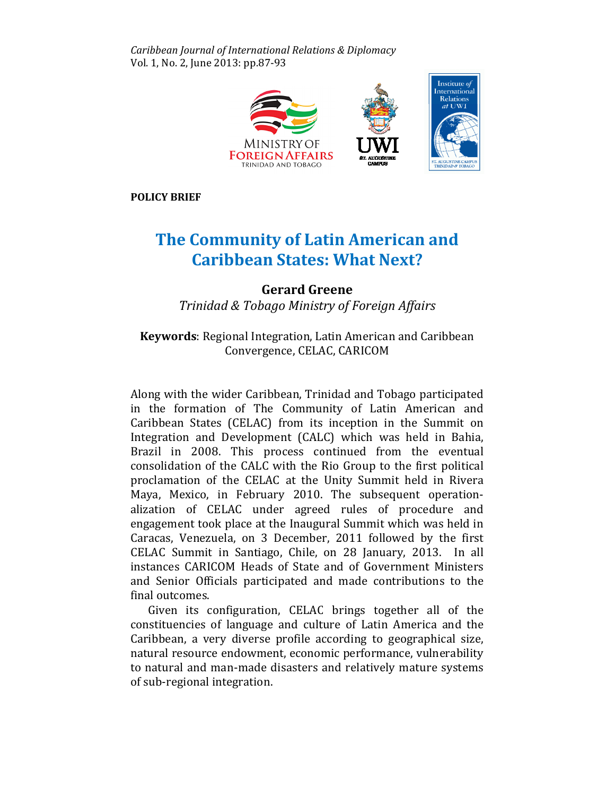Caribbean Journal of International Relations & Diplomacy Vol. 1, No. 2, June 2013: pp.87-93



POLICY BRIEF

## The Community of Latin American and **Caribbean States: What Next?**

Gerard Greene Trinidad & Tobago Ministry of Foreign Affairs of

## Keywords: Regional Integration, Latin American and Caribbean Convergence, CELAC, CARICOM Keywords: Regional Integration, Latin American and Caribbean<br>Convergence, CELAC, CARICOM<br>Along with the wider Caribbean, Trinidad and Tobago participated

in the formation of The Community of Latin American and Caribbean States (CELAC) from its inception in the Summit on Integration and Development (CALC) which was held in Bahia, Brazil in 2008. This process continued from the eventual consolidation of the CALC with the Rio Group to the first political proclamation of the CELAC at the Unity Summit held in Rivera Maya, Mexico, in February 2010. The subsequent operationalization of CELAC under agreed rules of procedure and engagement took place at the Inaugural Summit which was held in Caracas, Venezuela, on 3 December, 2011 followed by the first CELAC Summit in Santiago, Chile, on 28 January, 2013. In all instances CARICOM Heads of State and of Government Ministers Ministers and Senior Officials participated and made contributions to the final outcomes.

Given its configuration, CELAC brings together all of the constituencies of language and culture of Latin America and the Caribbean, a very diverse profile according to geographical size, natural resource endowment, economic performance, vulnerability to natural and man-made disasters and relatively mature systems of sub-regional integration.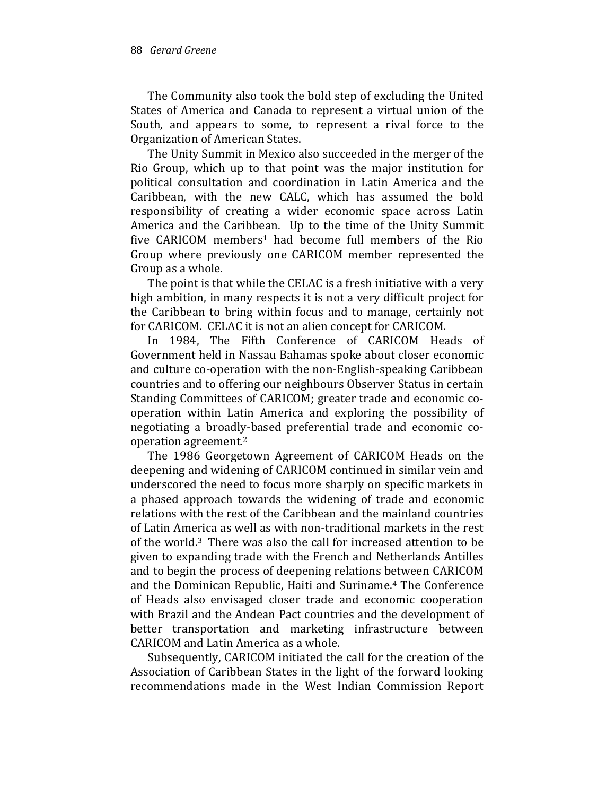The Community also took the bold step of excluding the United States of America and Canada to represent a virtual union of the South, and appears to some, to represent a rival force to the Organization of American States.

The Unity Summit in Mexico also succeeded in the merger of the Rio Group, which up to that point was the major institution for political consultation and coordination in Latin America and the Caribbean, with the new CALC, which has assumed the bold responsibility of creating a wider economic space across Latin America and the Caribbean. Up to the time of the Unity Summit five CARICOM members<sup>1</sup> had become full members of the Rio Group where previously one CARICOM member represented the Group as a whole.

The point is that while the CELAC is a fresh initiative with a very high ambition, in many respects it is not a very difficult project for the Caribbean to bring within focus and to manage, certainly not for CARICOM. CELAC it is not an alien concept for CARICOM.

In 1984, The Fifth Conference of CARICOM Heads of Government held in Nassau Bahamas spoke about closer economic and culture co-operation with the non-English-speaking Caribbean countries and to offering our neighbours Observer Status in certain Standing Committees of CARICOM; greater trade and economic cooperation within Latin America and exploring the possibility of negotiating a broadly-based preferential trade and economic cooperation agreement.<sup>2</sup>

The 1986 Georgetown Agreement of CARICOM Heads on the deepening and widening of CARICOM continued in similar vein and underscored the need to focus more sharply on specific markets in a phased approach towards the widening of trade and economic relations with the rest of the Caribbean and the mainland countries of Latin America as well as with non-traditional markets in the rest of the world.<sup>3</sup> There was also the call for increased attention to be given to expanding trade with the French and Netherlands Antilles and to begin the process of deepening relations between CARICOM and the Dominican Republic, Haiti and Suriname.4 The Conference of Heads also envisaged closer trade and economic cooperation with Brazil and the Andean Pact countries and the development of better transportation and marketing infrastructure between CARICOM and Latin America as a whole.

Subsequently, CARICOM initiated the call for the creation of the Association of Caribbean States in the light of the forward looking recommendations made in the West Indian Commission Report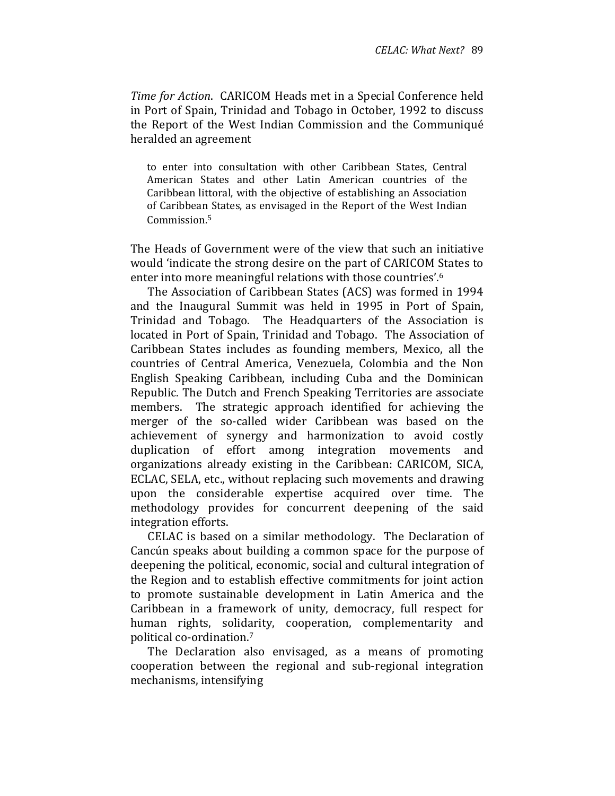Time for Action. CARICOM Heads met in a Special Conference held in Port of Spain, Trinidad and Tobago in October, 1992 to discuss the Report of the West Indian Commission and the Communiqué heralded an agreement

to enter into consultation with other Caribbean States, Central American States and other Latin American countries of the Caribbean littoral, with the objective of establishing an Association of Caribbean States, as envisaged in the Report of the West Indian Commission.<sup>5</sup>

The Heads of Government were of the view that such an initiative would 'indicate the strong desire on the part of CARICOM States to enter into more meaningful relations with those countries'.<sup>6</sup>

The Association of Caribbean States (ACS) was formed in 1994 and the Inaugural Summit was held in 1995 in Port of Spain, Trinidad and Tobago. The Headquarters of the Association is located in Port of Spain, Trinidad and Tobago. The Association of Caribbean States includes as founding members, Mexico, all the countries of Central America, Venezuela, Colombia and the Non English Speaking Caribbean, including Cuba and the Dominican Republic. The Dutch and French Speaking Territories are associate members. The strategic approach identified for achieving the merger of the so-called wider Caribbean was based on the achievement of synergy and harmonization to avoid costly duplication of effort among integration movements and organizations already existing in the Caribbean: CARICOM, SICA, ECLAC, SELA, etc., without replacing such movements and drawing upon the considerable expertise acquired over time. The methodology provides for concurrent deepening of the said integration efforts.

CELAC is based on a similar methodology. The Declaration of Cancún speaks about building a common space for the purpose of deepening the political, economic, social and cultural integration of the Region and to establish effective commitments for joint action to promote sustainable development in Latin America and the Caribbean in a framework of unity, democracy, full respect for human rights, solidarity, cooperation, complementarity and political co-ordination.<sup>7</sup>

The Declaration also envisaged, as a means of promoting cooperation between the regional and sub-regional integration mechanisms, intensifying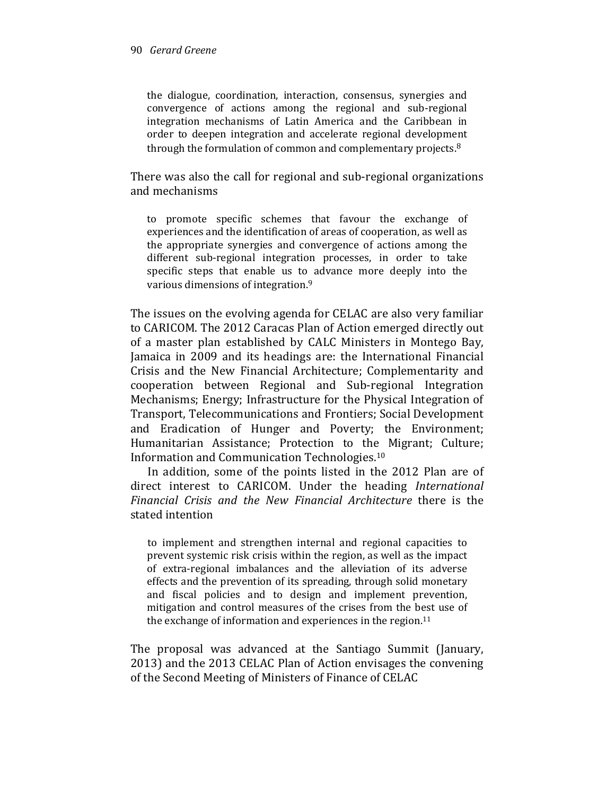the dialogue, coordination, interaction, consensus, synergies and convergence of actions among the regional and sub-regional integration mechanisms of Latin America and the Caribbean in order to deepen integration and accelerate regional development through the formulation of common and complementary projects.<sup>8</sup>

There was also the call for regional and sub-regional organizations and mechanisms

to promote specific schemes that favour the exchange of experiences and the identification of areas of cooperation, as well as the appropriate synergies and convergence of actions among the different sub-regional integration processes, in order to take specific steps that enable us to advance more deeply into the various dimensions of integration.<sup>9</sup>

The issues on the evolving agenda for CELAC are also very familiar to CARICOM. The 2012 Caracas Plan of Action emerged directly out of a master plan established by CALC Ministers in Montego Bay, Jamaica in 2009 and its headings are: the International Financial Crisis and the New Financial Architecture; Complementarity and cooperation between Regional and Sub-regional Integration Mechanisms; Energy; Infrastructure for the Physical Integration of Transport, Telecommunications and Frontiers; Social Development and Eradication of Hunger and Poverty; the Environment; Humanitarian Assistance; Protection to the Migrant; Culture; Information and Communication Technologies.<sup>10</sup>

In addition, some of the points listed in the 2012 Plan are of direct interest to CARICOM. Under the heading International Financial Crisis and the New Financial Architecture there is the stated intention

to implement and strengthen internal and regional capacities to prevent systemic risk crisis within the region, as well as the impact of extra-regional imbalances and the alleviation of its adverse effects and the prevention of its spreading, through solid monetary and fiscal policies and to design and implement prevention, mitigation and control measures of the crises from the best use of the exchange of information and experiences in the region.<sup>11</sup>

The proposal was advanced at the Santiago Summit (January, 2013) and the 2013 CELAC Plan of Action envisages the convening of the Second Meeting of Ministers of Finance of CELAC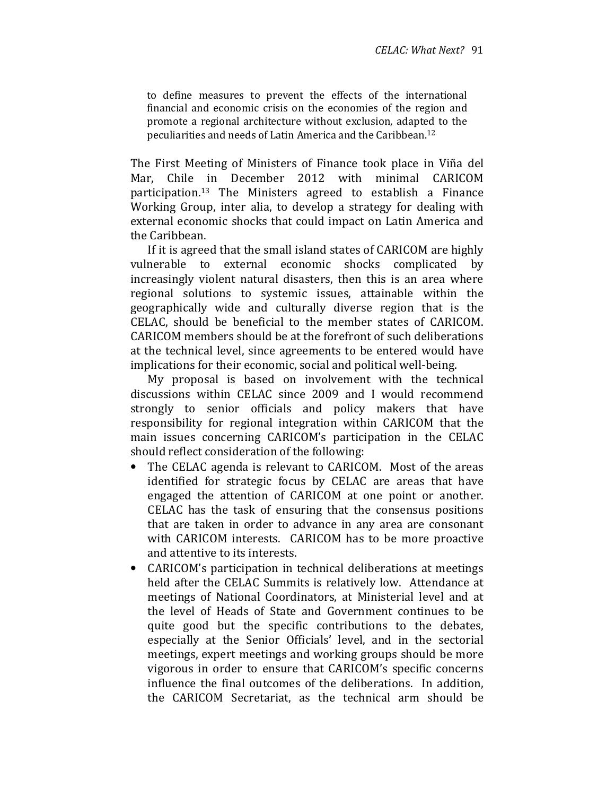to define measures to prevent the effects of the international financial and economic crisis on the economies of the region and promote a regional architecture without exclusion, adapted to the peculiarities and needs of Latin America and the Caribbean.<sup>12</sup>

The First Meeting of Ministers of Finance took place in Viña del Mar, Chile in December 2012 with minimal CARICOM participation.13 The Ministers agreed to establish a Finance Working Group, inter alia, to develop a strategy for dealing with external economic shocks that could impact on Latin America and the Caribbean.

If it is agreed that the small island states of CARICOM are highly vulnerable to external economic shocks complicated by increasingly violent natural disasters, then this is an area where regional solutions to systemic issues, attainable within the geographically wide and culturally diverse region that is the CELAC, should be beneficial to the member states of CARICOM. CARICOM members should be at the forefront of such deliberations at the technical level, since agreements to be entered would have implications for their economic, social and political well-being.

My proposal is based on involvement with the technical discussions within CELAC since 2009 and I would recommend strongly to senior officials and policy makers that have responsibility for regional integration within CARICOM that the main issues concerning CARICOM's participation in the CELAC should reflect consideration of the following:

- The CELAC agenda is relevant to CARICOM. Most of the areas identified for strategic focus by CELAC are areas that have engaged the attention of CARICOM at one point or another. CELAC has the task of ensuring that the consensus positions that are taken in order to advance in any area are consonant with CARICOM interests. CARICOM has to be more proactive and attentive to its interests.
- CARICOM's participation in technical deliberations at meetings held after the CELAC Summits is relatively low. Attendance at meetings of National Coordinators, at Ministerial level and at the level of Heads of State and Government continues to be quite good but the specific contributions to the debates, especially at the Senior Officials' level, and in the sectorial meetings, expert meetings and working groups should be more vigorous in order to ensure that CARICOM's specific concerns influence the final outcomes of the deliberations. In addition, the CARICOM Secretariat, as the technical arm should be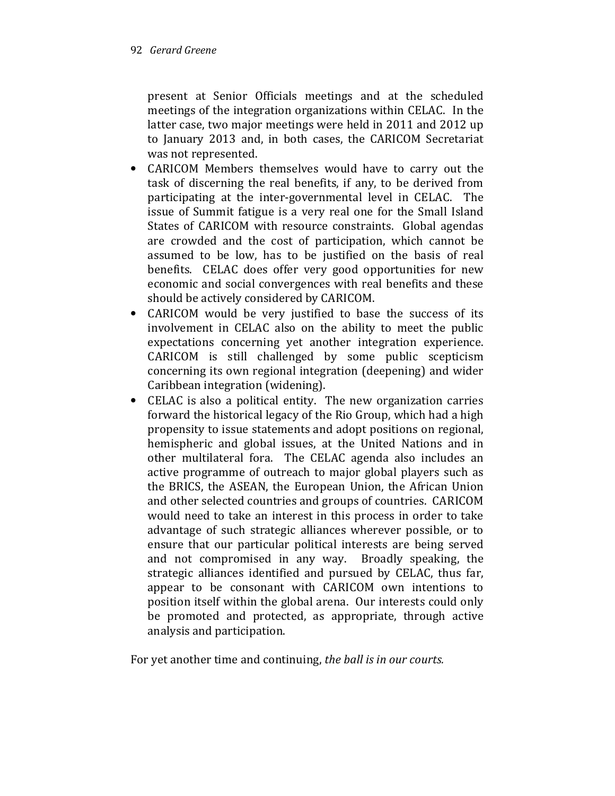present at Senior Officials meetings and at the scheduled meetings of the integration organizations within CELAC. In the latter case, two major meetings were held in 2011 and 2012 up to January 2013 and, in both cases, the CARICOM Secretariat was not represented.

- CARICOM Members themselves would have to carry out the task of discerning the real benefits, if any, to be derived from participating at the inter-governmental level in CELAC. The issue of Summit fatigue is a very real one for the Small Island States of CARICOM with resource constraints. Global agendas are crowded and the cost of participation, which cannot be assumed to be low, has to be justified on the basis of real benefits. CELAC does offer very good opportunities for new economic and social convergences with real benefits and these should be actively considered by CARICOM.
- CARICOM would be very justified to base the success of its involvement in CELAC also on the ability to meet the public expectations concerning yet another integration experience. CARICOM is still challenged by some public scepticism concerning its own regional integration (deepening) and wider Caribbean integration (widening).
- CELAC is also a political entity. The new organization carries forward the historical legacy of the Rio Group, which had a high propensity to issue statements and adopt positions on regional, hemispheric and global issues, at the United Nations and in other multilateral fora. The CELAC agenda also includes an active programme of outreach to major global players such as the BRICS, the ASEAN, the European Union, the African Union and other selected countries and groups of countries. CARICOM would need to take an interest in this process in order to take advantage of such strategic alliances wherever possible, or to ensure that our particular political interests are being served and not compromised in any way. Broadly speaking, the strategic alliances identified and pursued by CELAC, thus far, appear to be consonant with CARICOM own intentions to position itself within the global arena. Our interests could only be promoted and protected, as appropriate, through active analysis and participation.

For yet another time and continuing, the ball is in our courts.